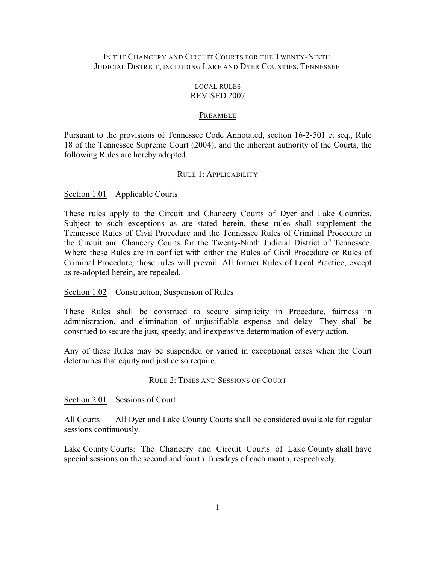## IN THE CHANCERY AND CIRCUIT COURTS FOR THE TWENTY-NINTH JUDICIAL DISTRICT, INCLUDING LAKE AND DYER COUNTIES, TENNESSEE

### LOCAL RULES REVISED 2007

#### PREAMBLE

Pursuant to the provisions of Tennessee Code Annotated, section 16-2-501 et seq., Rule 18 of the Tennessee Supreme Court (2004), and the inherent authority of the Courts, the following Rules are hereby adopted.

#### RULE 1: APPLICABILITY

Section 1.01 Applicable Courts

These rules apply to the Circuit and Chancery Courts of Dyer and Lake Counties. Subject to such exceptions as are stated herein, these rules shall supplement the Tennessee Rules of Civil Procedure and the Tennessee Rules of Criminal Procedure in the Circuit and Chancery Courts for the Twenty-Ninth Judicial District of Tennessee. Where these Rules are in conflict with either the Rules of Civil Procedure or Rules of Criminal Procedure, those rules will prevail. All former Rules of Local Practice, except as re-adopted herein, are repealed.

Section 1.02 Construction, Suspension of Rules

These Rules shall be construed to secure simplicity in Procedure, fairness in administration, and elimination of unjustifiable expense and delay. They shall be construed to secure the just, speedy, and inexpensive determination of every action.

Any of these Rules may be suspended or varied in exceptional cases when the Court determines that equity and justice so require.

## RULE 2: TIMES AND SESSIONS OF COURT

Section 2.01 Sessions of Court

All Courts: All Dyer and Lake County Courts shall be considered available for regular sessions continuously.

Lake County Courts: The Chancery and Circuit Courts of Lake County shall have special sessions on the second and fourth Tuesdays of each month, respectively.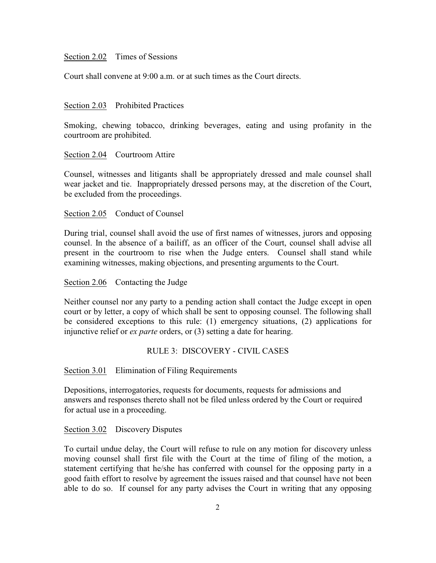## Section 2.02 Times of Sessions

Court shall convene at 9:00 a.m. or at such times as the Court directs.

#### Section 2.03 Prohibited Practices

Smoking, chewing tobacco, drinking beverages, eating and using profanity in the courtroom are prohibited.

#### Section 2.04 Courtroom Attire

Counsel, witnesses and litigants shall be appropriately dressed and male counsel shall wear jacket and tie. Inappropriately dressed persons may, at the discretion of the Court, be excluded from the proceedings.

#### Section 2.05 Conduct of Counsel

During trial, counsel shall avoid the use of first names of witnesses, jurors and opposing counsel. In the absence of a bailiff, as an officer of the Court, counsel shall advise all present in the courtroom to rise when the Judge enters. Counsel shall stand while examining witnesses, making objections, and presenting arguments to the Court.

#### Section 2.06 Contacting the Judge

Neither counsel nor any party to a pending action shall contact the Judge except in open court or by letter, a copy of which shall be sent to opposing counsel. The following shall be considered exceptions to this rule: (1) emergency situations, (2) applications for injunctive relief or *ex parte* orders, or (3) setting a date for hearing.

#### RULE 3: DISCOVERY - CIVIL CASES

Section 3.01 Elimination of Filing Requirements

Depositions, interrogatories, requests for documents, requests for admissions and answers and responses thereto shall not be filed unless ordered by the Court or required for actual use in a proceeding.

## Section 3.02 Discovery Disputes

To curtail undue delay, the Court will refuse to rule on any motion for discovery unless moving counsel shall first file with the Court at the time of filing of the motion, a statement certifying that he/she has conferred with counsel for the opposing party in a good faith effort to resolve by agreement the issues raised and that counsel have not been able to do so. If counsel for any party advises the Court in writing that any opposing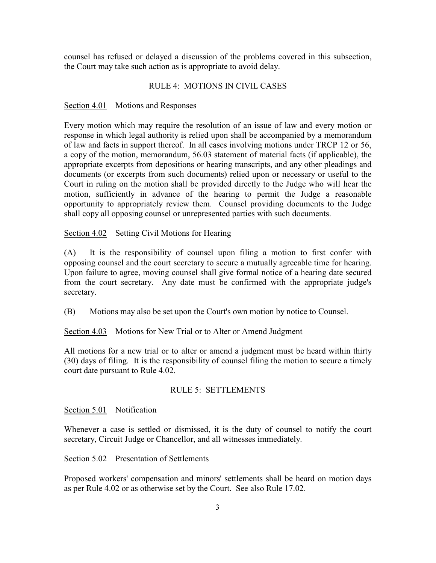counsel has refused or delayed a discussion of the problems covered in this subsection, the Court may take such action as is appropriate to avoid delay.

## RULE 4: MOTIONS IN CIVIL CASES

### Section 4.01 Motions and Responses

Every motion which may require the resolution of an issue of law and every motion or response in which legal authority is relied upon shall be accompanied by a memorandum of law and facts in support thereof. In all cases involving motions under TRCP 12 or 56, a copy of the motion, memorandum, 56.03 statement of material facts (if applicable), the appropriate excerpts from depositions or hearing transcripts, and any other pleadings and documents (or excerpts from such documents) relied upon or necessary or useful to the Court in ruling on the motion shall be provided directly to the Judge who will hear the motion, sufficiently in advance of the hearing to permit the Judge a reasonable opportunity to appropriately review them. Counsel providing documents to the Judge shall copy all opposing counsel or unrepresented parties with such documents.

Section 4.02 Setting Civil Motions for Hearing

(A) It is the responsibility of counsel upon filing a motion to first confer with opposing counsel and the court secretary to secure a mutually agreeable time for hearing. Upon failure to agree, moving counsel shall give formal notice of a hearing date secured from the court secretary. Any date must be confirmed with the appropriate judge's secretary.

(B) Motions may also be set upon the Court's own motion by notice to Counsel.

Section 4.03 Motions for New Trial or to Alter or Amend Judgment

All motions for a new trial or to alter or amend a judgment must be heard within thirty (30) days of filing. It is the responsibility of counsel filing the motion to secure a timely court date pursuant to Rule 4.02.

#### RULE 5: SETTLEMENTS

Section 5.01 Notification

Whenever a case is settled or dismissed, it is the duty of counsel to notify the court secretary, Circuit Judge or Chancellor, and all witnesses immediately.

Section 5.02 Presentation of Settlements

Proposed workers' compensation and minors' settlements shall be heard on motion days as per Rule 4.02 or as otherwise set by the Court. See also Rule 17.02.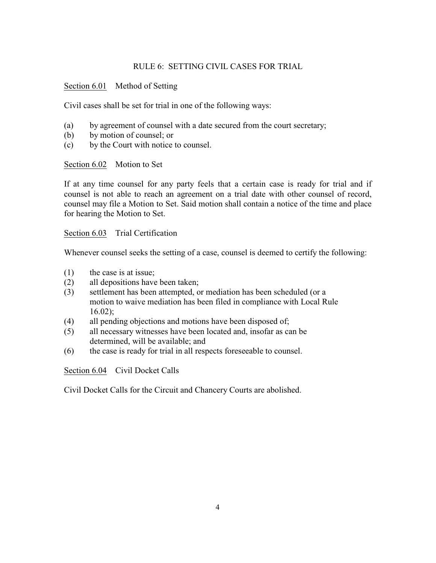# RULE 6: SETTING CIVIL CASES FOR TRIAL

# Section 6.01 Method of Setting

Civil cases shall be set for trial in one of the following ways:

- (a) by agreement of counsel with a date secured from the court secretary;
- (b) by motion of counsel; or
- (c) by the Court with notice to counsel.

Section 6.02 Motion to Set

If at any time counsel for any party feels that a certain case is ready for trial and if counsel is not able to reach an agreement on a trial date with other counsel of record, counsel may file a Motion to Set. Said motion shall contain a notice of the time and place for hearing the Motion to Set.

Section 6.03 Trial Certification

Whenever counsel seeks the setting of a case, counsel is deemed to certify the following:

- (1) the case is at issue;
- (2) all depositions have been taken;
- (3) settlement has been attempted, or mediation has been scheduled (or a motion to waive mediation has been filed in compliance with Local Rule 16.02);
- (4) all pending objections and motions have been disposed of;
- (5) all necessary witnesses have been located and, insofar as can be determined, will be available; and
- (6) the case is ready for trial in all respects foreseeable to counsel.

Section 6.04 Civil Docket Calls

Civil Docket Calls for the Circuit and Chancery Courts are abolished.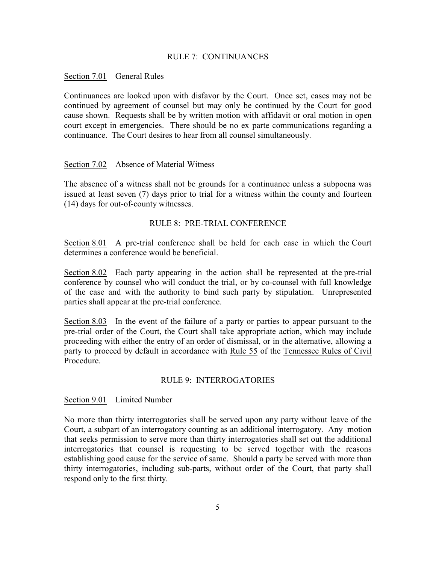### RULE 7: CONTINUANCES

#### Section 7.01 General Rules

Continuances are looked upon with disfavor by the Court. Once set, cases may not be continued by agreement of counsel but may only be continued by the Court for good cause shown. Requests shall be by written motion with affidavit or oral motion in open court except in emergencies. There should be no ex parte communications regarding a continuance. The Court desires to hear from all counsel simultaneously.

### Section 7.02 Absence of Material Witness

The absence of a witness shall not be grounds for a continuance unless a subpoena was issued at least seven (7) days prior to trial for a witness within the county and fourteen (14) days for out-of-county witnesses.

## RULE 8: PRE-TRIAL CONFERENCE

Section 8.01 A pre-trial conference shall be held for each case in which the Court determines a conference would be beneficial.

Section 8.02 Each party appearing in the action shall be represented at the pre-trial conference by counsel who will conduct the trial, or by co-counsel with full knowledge of the case and with the authority to bind such party by stipulation. Unrepresented parties shall appear at the pre-trial conference.

Section 8.03 In the event of the failure of a party or parties to appear pursuant to the pre-trial order of the Court, the Court shall take appropriate action, which may include proceeding with either the entry of an order of dismissal, or in the alternative, allowing a party to proceed by default in accordance with Rule 55 of the Tennessee Rules of Civil Procedure.

### RULE 9: INTERROGATORIES

#### Section 9.01 Limited Number

No more than thirty interrogatories shall be served upon any party without leave of the Court, a subpart of an interrogatory counting as an additional interrogatory. Any motion that seeks permission to serve more than thirty interrogatories shall set out the additional interrogatories that counsel is requesting to be served together with the reasons establishing good cause for the service of same. Should a party be served with more than thirty interrogatories, including sub-parts, without order of the Court, that party shall respond only to the first thirty.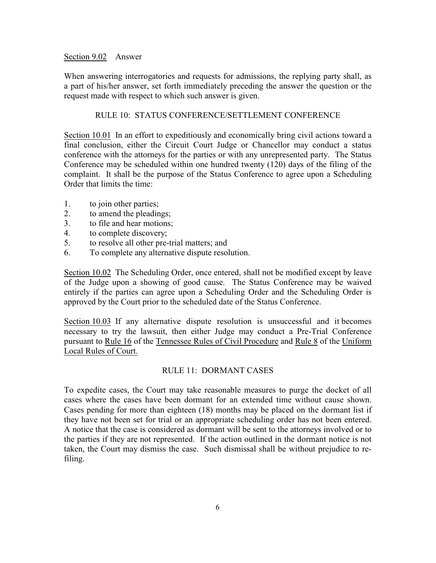### Section 9.02 Answer

When answering interrogatories and requests for admissions, the replying party shall, as a part of his/her answer, set forth immediately preceding the answer the question or the request made with respect to which such answer is given.

### RULE 10: STATUS CONFERENCE/SETTLEMENT CONFERENCE

Section 10.01 In an effort to expeditiously and economically bring civil actions toward a final conclusion, either the Circuit Court Judge or Chancellor may conduct a status conference with the attorneys for the parties or with any unrepresented party. The Status Conference may be scheduled within one hundred twenty (120) days of the filing of the complaint. It shall be the purpose of the Status Conference to agree upon a Scheduling Order that limits the time:

- 1. to join other parties;
- 2. to amend the pleadings;
- 3. to file and hear motions;
- 4. to complete discovery;
- 5. to resolve all other pre-trial matters; and
- 6. To complete any alternative dispute resolution.

Section 10.02 The Scheduling Order, once entered, shall not be modified except by leave of the Judge upon a showing of good cause. The Status Conference may be waived entirely if the parties can agree upon a Scheduling Order and the Scheduling Order is approved by the Court prior to the scheduled date of the Status Conference.

Section 10.03 If any alternative dispute resolution is unsuccessful and it becomes necessary to try the lawsuit, then either Judge may conduct a Pre-Trial Conference pursuant to Rule 16 of the Tennessee Rules of Civil Procedure and Rule 8 of the Uniform Local Rules of Court.

### RULE 11: DORMANT CASES

To expedite cases, the Court may take reasonable measures to purge the docket of all cases where the cases have been dormant for an extended time without cause shown. Cases pending for more than eighteen (18) months may be placed on the dormant list if they have not been set for trial or an appropriate scheduling order has not been entered. A notice that the case is considered as dormant will be sent to the attorneys involved or to the parties if they are not represented. If the action outlined in the dormant notice is not taken, the Court may dismiss the case. Such dismissal shall be without prejudice to refiling.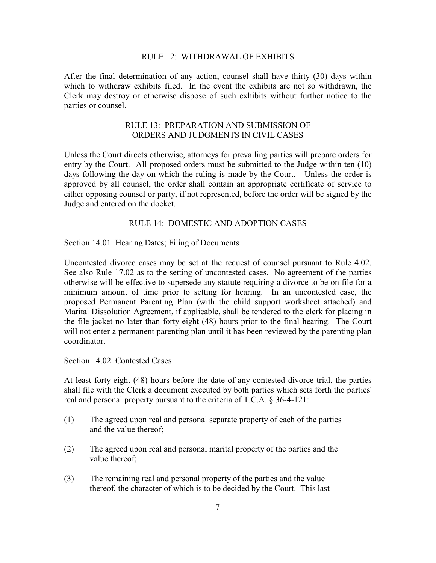### RULE 12: WITHDRAWAL OF EXHIBITS

After the final determination of any action, counsel shall have thirty (30) days within which to withdraw exhibits filed. In the event the exhibits are not so withdrawn, the Clerk may destroy or otherwise dispose of such exhibits without further notice to the parties or counsel.

# RULE 13: PREPARATION AND SUBMISSION OF ORDERS AND JUDGMENTS IN CIVIL CASES

Unless the Court directs otherwise, attorneys for prevailing parties will prepare orders for entry by the Court. All proposed orders must be submitted to the Judge within ten (10) days following the day on which the ruling is made by the Court. Unless the order is approved by all counsel, the order shall contain an appropriate certificate of service to either opposing counsel or party, if not represented, before the order will be signed by the Judge and entered on the docket.

## RULE 14: DOMESTIC AND ADOPTION CASES

#### Section 14.01 Hearing Dates; Filing of Documents

Uncontested divorce cases may be set at the request of counsel pursuant to Rule 4.02. See also Rule 17.02 as to the setting of uncontested cases. No agreement of the parties otherwise will be effective to supersede any statute requiring a divorce to be on file for a minimum amount of time prior to setting for hearing. In an uncontested case, the proposed Permanent Parenting Plan (with the child support worksheet attached) and Marital Dissolution Agreement, if applicable, shall be tendered to the clerk for placing in the file jacket no later than forty-eight (48) hours prior to the final hearing. The Court will not enter a permanent parenting plan until it has been reviewed by the parenting plan coordinator.

#### Section 14.02 Contested Cases

At least forty-eight (48) hours before the date of any contested divorce trial, the parties shall file with the Clerk a document executed by both parties which sets forth the parties' real and personal property pursuant to the criteria of T.C.A. § 36-4-121:

- (1) The agreed upon real and personal separate property of each of the parties and the value thereof;
- (2) The agreed upon real and personal marital property of the parties and the value thereof;
- (3) The remaining real and personal property of the parties and the value thereof, the character of which is to be decided by the Court. This last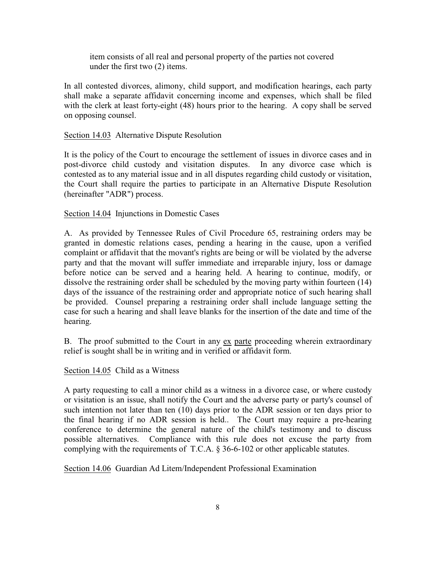item consists of all real and personal property of the parties not covered under the first two (2) items.

In all contested divorces, alimony, child support, and modification hearings, each party shall make a separate affidavit concerning income and expenses, which shall be filed with the clerk at least forty-eight (48) hours prior to the hearing. A copy shall be served on opposing counsel.

### Section 14.03 Alternative Dispute Resolution

It is the policy of the Court to encourage the settlement of issues in divorce cases and in post-divorce child custody and visitation disputes. In any divorce case which is contested as to any material issue and in all disputes regarding child custody or visitation, the Court shall require the parties to participate in an Alternative Dispute Resolution (hereinafter "ADR") process.

#### Section 14.04 Injunctions in Domestic Cases

A. As provided by Tennessee Rules of Civil Procedure 65, restraining orders may be granted in domestic relations cases, pending a hearing in the cause, upon a verified complaint or affidavit that the movant's rights are being or will be violated by the adverse party and that the movant will suffer immediate and irreparable injury, loss or damage before notice can be served and a hearing held. A hearing to continue, modify, or dissolve the restraining order shall be scheduled by the moving party within fourteen (14) days of the issuance of the restraining order and appropriate notice of such hearing shall be provided. Counsel preparing a restraining order shall include language setting the case for such a hearing and shall leave blanks for the insertion of the date and time of the hearing.

B. The proof submitted to the Court in any ex parte proceeding wherein extraordinary relief is sought shall be in writing and in verified or affidavit form.

#### Section 14.05 Child as a Witness

A party requesting to call a minor child as a witness in a divorce case, or where custody or visitation is an issue, shall notify the Court and the adverse party or party's counsel of such intention not later than ten (10) days prior to the ADR session or ten days prior to the final hearing if no ADR session is held.. The Court may require a pre-hearing conference to determine the general nature of the child's testimony and to discuss possible alternatives. Compliance with this rule does not excuse the party from complying with the requirements of T.C.A. § 36-6-102 or other applicable statutes.

Section 14.06 Guardian Ad Litem/Independent Professional Examination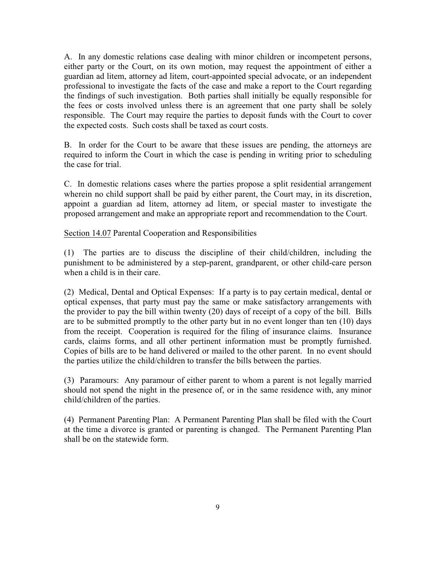A. In any domestic relations case dealing with minor children or incompetent persons, either party or the Court, on its own motion, may request the appointment of either a guardian ad litem, attorney ad litem, court-appointed special advocate, or an independent professional to investigate the facts of the case and make a report to the Court regarding the findings of such investigation. Both parties shall initially be equally responsible for the fees or costs involved unless there is an agreement that one party shall be solely responsible. The Court may require the parties to deposit funds with the Court to cover the expected costs. Such costs shall be taxed as court costs.

B. In order for the Court to be aware that these issues are pending, the attorneys are required to inform the Court in which the case is pending in writing prior to scheduling the case for trial.

C. In domestic relations cases where the parties propose a split residential arrangement wherein no child support shall be paid by either parent, the Court may, in its discretion, appoint a guardian ad litem, attorney ad litem, or special master to investigate the proposed arrangement and make an appropriate report and recommendation to the Court.

Section 14.07 Parental Cooperation and Responsibilities

(1) The parties are to discuss the discipline of their child/children, including the punishment to be administered by a step-parent, grandparent, or other child-care person when a child is in their care.

(2) Medical, Dental and Optical Expenses: If a party is to pay certain medical, dental or optical expenses, that party must pay the same or make satisfactory arrangements with the provider to pay the bill within twenty (20) days of receipt of a copy of the bill. Bills are to be submitted promptly to the other party but in no event longer than ten (10) days from the receipt. Cooperation is required for the filing of insurance claims. Insurance cards, claims forms, and all other pertinent information must be promptly furnished. Copies of bills are to be hand delivered or mailed to the other parent. In no event should the parties utilize the child/children to transfer the bills between the parties.

(3) Paramours: Any paramour of either parent to whom a parent is not legally married should not spend the night in the presence of, or in the same residence with, any minor child/children of the parties.

(4) Permanent Parenting Plan: A Permanent Parenting Plan shall be filed with the Court at the time a divorce is granted or parenting is changed. The Permanent Parenting Plan shall be on the statewide form.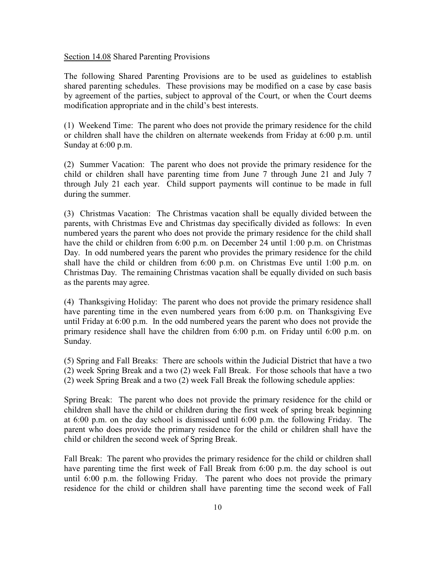Section 14.08 Shared Parenting Provisions

The following Shared Parenting Provisions are to be used as guidelines to establish shared parenting schedules. These provisions may be modified on a case by case basis by agreement of the parties, subject to approval of the Court, or when the Court deems modification appropriate and in the child's best interests.

(1) Weekend Time: The parent who does not provide the primary residence for the child or children shall have the children on alternate weekends from Friday at 6:00 p.m. until Sunday at 6:00 p.m.

(2) Summer Vacation: The parent who does not provide the primary residence for the child or children shall have parenting time from June 7 through June 21 and July 7 through July 21 each year. Child support payments will continue to be made in full during the summer.

(3) Christmas Vacation: The Christmas vacation shall be equally divided between the parents, with Christmas Eve and Christmas day specifically divided as follows: In even numbered years the parent who does not provide the primary residence for the child shall have the child or children from 6:00 p.m. on December 24 until 1:00 p.m. on Christmas Day. In odd numbered years the parent who provides the primary residence for the child shall have the child or children from 6:00 p.m. on Christmas Eve until 1:00 p.m. on Christmas Day. The remaining Christmas vacation shall be equally divided on such basis as the parents may agree.

(4) Thanksgiving Holiday: The parent who does not provide the primary residence shall have parenting time in the even numbered years from 6:00 p.m. on Thanksgiving Eve until Friday at 6:00 p.m. In the odd numbered years the parent who does not provide the primary residence shall have the children from 6:00 p.m. on Friday until 6:00 p.m. on Sunday.

(5) Spring and Fall Breaks: There are schools within the Judicial District that have a two (2) week Spring Break and a two (2) week Fall Break. For those schools that have a two (2) week Spring Break and a two (2) week Fall Break the following schedule applies:

Spring Break: The parent who does not provide the primary residence for the child or children shall have the child or children during the first week of spring break beginning at 6:00 p.m. on the day school is dismissed until 6:00 p.m. the following Friday. The parent who does provide the primary residence for the child or children shall have the child or children the second week of Spring Break.

Fall Break: The parent who provides the primary residence for the child or children shall have parenting time the first week of Fall Break from 6:00 p.m. the day school is out until 6:00 p.m. the following Friday. The parent who does not provide the primary residence for the child or children shall have parenting time the second week of Fall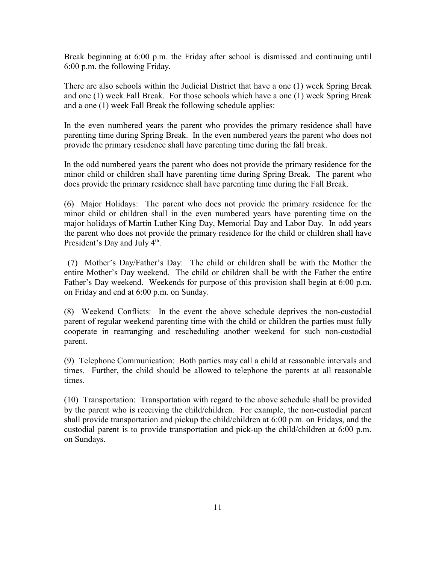Break beginning at 6:00 p.m. the Friday after school is dismissed and continuing until 6:00 p.m. the following Friday.

There are also schools within the Judicial District that have a one (1) week Spring Break and one (1) week Fall Break. For those schools which have a one (1) week Spring Break and a one (1) week Fall Break the following schedule applies:

In the even numbered years the parent who provides the primary residence shall have parenting time during Spring Break. In the even numbered years the parent who does not provide the primary residence shall have parenting time during the fall break.

In the odd numbered years the parent who does not provide the primary residence for the minor child or children shall have parenting time during Spring Break. The parent who does provide the primary residence shall have parenting time during the Fall Break.

(6) Major Holidays: The parent who does not provide the primary residence for the minor child or children shall in the even numbered years have parenting time on the major holidays of Martin Luther King Day, Memorial Day and Labor Day. In odd years the parent who does not provide the primary residence for the child or children shall have President's Day and July 4<sup>th</sup>.

(7) Mother's Day/Father's Day: The child or children shall be with the Mother the entire Mother's Day weekend. The child or children shall be with the Father the entire Father's Day weekend. Weekends for purpose of this provision shall begin at 6:00 p.m. on Friday and end at 6:00 p.m. on Sunday.

(8) Weekend Conflicts: In the event the above schedule deprives the non-custodial parent of regular weekend parenting time with the child or children the parties must fully cooperate in rearranging and rescheduling another weekend for such non-custodial parent.

(9) Telephone Communication: Both parties may call a child at reasonable intervals and times. Further, the child should be allowed to telephone the parents at all reasonable times.

(10) Transportation: Transportation with regard to the above schedule shall be provided by the parent who is receiving the child/children. For example, the non-custodial parent shall provide transportation and pickup the child/children at 6:00 p.m. on Fridays, and the custodial parent is to provide transportation and pick-up the child/children at 6:00 p.m. on Sundays.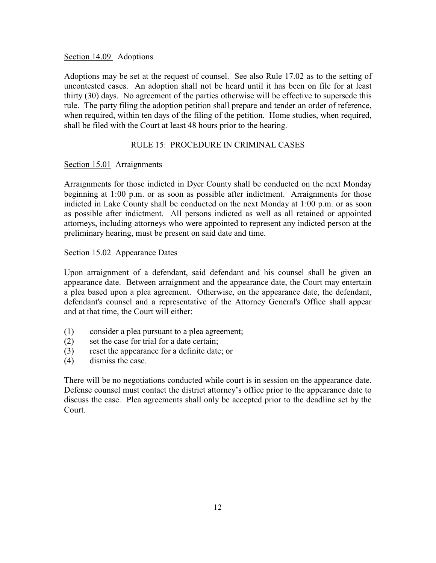## Section 14.09 Adoptions

Adoptions may be set at the request of counsel. See also Rule 17.02 as to the setting of uncontested cases. An adoption shall not be heard until it has been on file for at least thirty (30) days. No agreement of the parties otherwise will be effective to supersede this rule. The party filing the adoption petition shall prepare and tender an order of reference, when required, within ten days of the filing of the petition. Home studies, when required, shall be filed with the Court at least 48 hours prior to the hearing.

## RULE 15: PROCEDURE IN CRIMINAL CASES

## Section 15.01 Arraignments

Arraignments for those indicted in Dyer County shall be conducted on the next Monday beginning at 1:00 p.m. or as soon as possible after indictment. Arraignments for those indicted in Lake County shall be conducted on the next Monday at 1:00 p.m. or as soon as possible after indictment. All persons indicted as well as all retained or appointed attorneys, including attorneys who were appointed to represent any indicted person at the preliminary hearing, must be present on said date and time.

## Section 15.02 Appearance Dates

Upon arraignment of a defendant, said defendant and his counsel shall be given an appearance date. Between arraignment and the appearance date, the Court may entertain a plea based upon a plea agreement. Otherwise, on the appearance date, the defendant, defendant's counsel and a representative of the Attorney General's Office shall appear and at that time, the Court will either:

- (1) consider a plea pursuant to a plea agreement;
- (2) set the case for trial for a date certain;
- (3) reset the appearance for a definite date; or
- (4) dismiss the case.

There will be no negotiations conducted while court is in session on the appearance date. Defense counsel must contact the district attorney's office prior to the appearance date to discuss the case. Plea agreements shall only be accepted prior to the deadline set by the Court.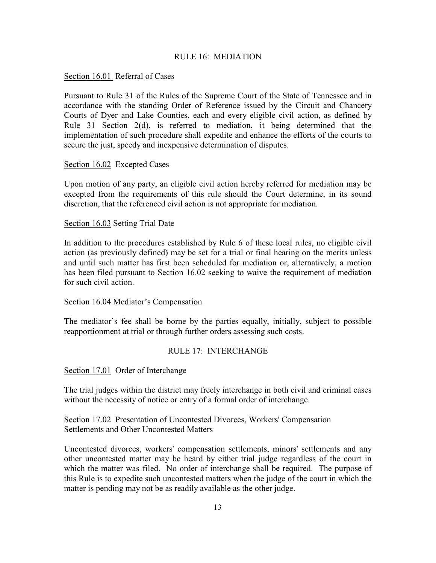## RULE 16: MEDIATION

## Section 16.01 Referral of Cases

Pursuant to Rule 31 of the Rules of the Supreme Court of the State of Tennessee and in accordance with the standing Order of Reference issued by the Circuit and Chancery Courts of Dyer and Lake Counties, each and every eligible civil action, as defined by Rule 31 Section 2(d), is referred to mediation, it being determined that the implementation of such procedure shall expedite and enhance the efforts of the courts to secure the just, speedy and inexpensive determination of disputes.

### Section 16.02 Excepted Cases

Upon motion of any party, an eligible civil action hereby referred for mediation may be excepted from the requirements of this rule should the Court determine, in its sound discretion, that the referenced civil action is not appropriate for mediation.

## Section 16.03 Setting Trial Date

In addition to the procedures established by Rule 6 of these local rules, no eligible civil action (as previously defined) may be set for a trial or final hearing on the merits unless and until such matter has first been scheduled for mediation or, alternatively, a motion has been filed pursuant to Section 16.02 seeking to waive the requirement of mediation for such civil action.

### Section 16.04 Mediator's Compensation

The mediator's fee shall be borne by the parties equally, initially, subject to possible reapportionment at trial or through further orders assessing such costs.

### RULE 17: INTERCHANGE

Section 17.01 Order of Interchange

The trial judges within the district may freely interchange in both civil and criminal cases without the necessity of notice or entry of a formal order of interchange.

Section 17.02 Presentation of Uncontested Divorces, Workers' Compensation Settlements and Other Uncontested Matters

Uncontested divorces, workers' compensation settlements, minors' settlements and any other uncontested matter may be heard by either trial judge regardless of the court in which the matter was filed. No order of interchange shall be required. The purpose of this Rule is to expedite such uncontested matters when the judge of the court in which the matter is pending may not be as readily available as the other judge.